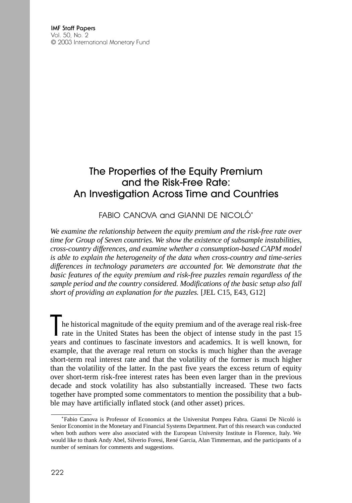# The Properties of the Equity Premium and the Risk-Free Rate: An Investigation Across Time and Countries

FABIO CANOVA and GIANNI DE NICOI Ó\*

*We examine the relationship between the equity premium and the risk-free rate over time for Group of Seven countries. We show the existence of subsample instabilities, cross-country differences, and examine whether a consumption-based CAPM model is able to explain the heterogeneity of the data when cross-country and time-series differences in technology parameters are accounted for. We demonstrate that the basic features of the equity premium and risk-free puzzles remain regardless of the sample period and the country considered. Modifications of the basic setup also fall short of providing an explanation for the puzzles.* [JEL C15, E43, G12]

I he historical magnitude of the equity premium and of the average real risk-free rate in the United States has been the object of intense study in the past 15 years and continues to fascinate investors and academics. It is well known, for example, that the average real return on stocks is much higher than the average short-term real interest rate and that the volatility of the former is much higher than the volatility of the latter. In the past five years the excess return of equity over short-term risk-free interest rates has been even larger than in the previous decade and stock volatility has also substantially increased. These two facts together have prompted some commentators to mention the possibility that a bubble may have artificially inflated stock (and other asset) prices.

<sup>\*</sup>Fabio Canova is Professor of Economics at the Universitat Pompeu Fabra. Gianni De Nicoló is Senior Economist in the Monetary and Financial Systems Department. Part of this research was conducted when both authors were also associated with the European University Institute in Florence, Italy. We would like to thank Andy Abel, Silverio Foresi, René Garcia, Alan Timmerman, and the participants of a number of seminars for comments and suggestions.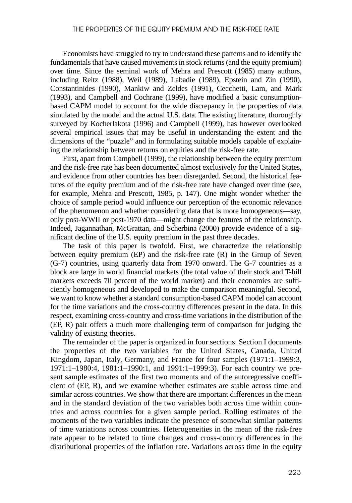Economists have struggled to try to understand these patterns and to identify the fundamentals that have caused movements in stock returns (and the equity premium) over time. Since the seminal work of Mehra and Prescott (1985) many authors, including Reitz (1988), Weil (1989), Labadie (1989), Epstein and Zin (1990), Constantinides (1990), Mankiw and Zeldes (1991), Cecchetti, Lam, and Mark (1993), and Campbell and Cochrane (1999), have modified a basic consumptionbased CAPM model to account for the wide discrepancy in the properties of data simulated by the model and the actual U.S. data. The existing literature, thoroughly surveyed by Kocherlakota (1996) and Campbell (1999), has however overlooked several empirical issues that may be useful in understanding the extent and the dimensions of the "puzzle" and in formulating suitable models capable of explaining the relationship between returns on equities and the risk-free rate.

First, apart from Campbell (1999), the relationship between the equity premium and the risk-free rate has been documented almost exclusively for the United States, and evidence from other countries has been disregarded. Second, the historical features of the equity premium and of the risk-free rate have changed over time (see, for example, Mehra and Prescott, 1985, p. 147). One might wonder whether the choice of sample period would influence our perception of the economic relevance of the phenomenon and whether considering data that is more homogeneous—say, only post-WWII or post-1970 data—might change the features of the relationship. Indeed, Jagannathan, McGrattan, and Scherbina (2000) provide evidence of a significant decline of the U.S. equity premium in the past three decades.

The task of this paper is twofold. First, we characterize the relationship between equity premium (EP) and the risk-free rate (R) in the Group of Seven (G-7) countries, using quarterly data from 1970 onward. The G-7 countries as a block are large in world financial markets (the total value of their stock and T-bill markets exceeds 70 percent of the world market) and their economies are sufficiently homogeneous and developed to make the comparison meaningful. Second, we want to know whether a standard consumption-based CAPM model can account for the time variations and the cross-country differences present in the data. In this respect, examining cross-country and cross-time variations in the distribution of the (EP, R) pair offers a much more challenging term of comparison for judging the validity of existing theories.

The remainder of the paper is organized in four sections. Section I documents the properties of the two variables for the United States, Canada, United Kingdom, Japan, Italy, Germany, and France for four samples (1971:1–1999:3, 1971:1–1980:4, 1981:1–1990:1, and 1991:1–1999:3). For each country we present sample estimates of the first two moments and of the autoregressive coefficient of (EP, R), and we examine whether estimates are stable across time and similar across countries. We show that there are important differences in the mean and in the standard deviation of the two variables both across time within countries and across countries for a given sample period. Rolling estimates of the moments of the two variables indicate the presence of somewhat similar patterns of time variations across countries. Heterogeneities in the mean of the risk-free rate appear to be related to time changes and cross-country differences in the distributional properties of the inflation rate. Variations across time in the equity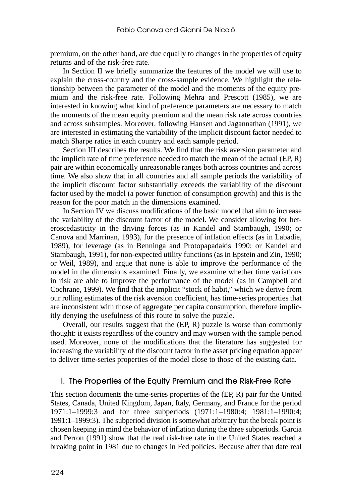premium, on the other hand, are due equally to changes in the properties of equity returns and of the risk-free rate.

In Section II we briefly summarize the features of the model we will use to explain the cross-country and the cross-sample evidence. We highlight the relationship between the parameter of the model and the moments of the equity premium and the risk-free rate. Following Mehra and Prescott (1985), we are interested in knowing what kind of preference parameters are necessary to match the moments of the mean equity premium and the mean risk rate across countries and across subsamples. Moreover, following Hansen and Jagannathan (1991), we are interested in estimating the variability of the implicit discount factor needed to match Sharpe ratios in each country and each sample period.

Section III describes the results. We find that the risk aversion parameter and the implicit rate of time preference needed to match the mean of the actual  $(EP, R)$ pair are within economically unreasonable ranges both across countries and across time. We also show that in all countries and all sample periods the variability of the implicit discount factor substantially exceeds the variability of the discount factor used by the model (a power function of consumption growth) and this is the reason for the poor match in the dimensions examined.

In Section IV we discuss modifications of the basic model that aim to increase the variability of the discount factor of the model. We consider allowing for heteroscedasticity in the driving forces (as in Kandel and Stambaugh, 1990; or Canova and Marrinan, 1993), for the presence of inflation effects (as in Labadie, 1989), for leverage (as in Benninga and Protopapadakis 1990; or Kandel and Stambaugh, 1991), for non-expected utility functions (as in Epstein and Zin, 1990; or Weil, 1989), and argue that none is able to improve the performance of the model in the dimensions examined. Finally, we examine whether time variations in risk are able to improve the performance of the model (as in Campbell and Cochrane, 1999). We find that the implicit "stock of habit," which we derive from our rolling estimates of the risk aversion coefficient, has time-series properties that are inconsistent with those of aggregate per capita consumption, therefore implicitly denying the usefulness of this route to solve the puzzle.

Overall, our results suggest that the (EP, R) puzzle is worse than commonly thought: it exists regardless of the country and may worsen with the sample period used. Moreover, none of the modifications that the literature has suggested for increasing the variability of the discount factor in the asset pricing equation appear to deliver time-series properties of the model close to those of the existing data.

### I. The Properties of the Equity Premium and the Risk-Free Rate

This section documents the time-series properties of the (EP, R) pair for the United States, Canada, United Kingdom, Japan, Italy, Germany, and France for the period 1971:1–1999:3 and for three subperiods (1971:1–1980:4; 1981:1–1990:4; 1991:1–1999:3). The subperiod division is somewhat arbitrary but the break point is chosen keeping in mind the behavior of inflation during the three subperiods. Garcia and Perron (1991) show that the real risk-free rate in the United States reached a breaking point in 1981 due to changes in Fed policies. Because after that date real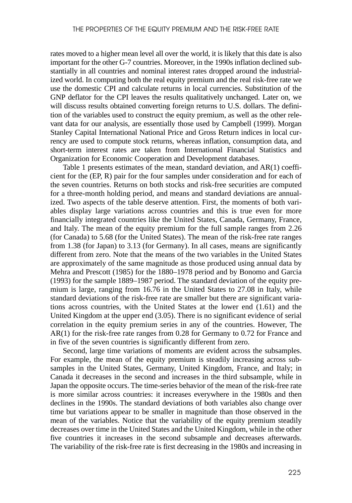rates moved to a higher mean level all over the world, it is likely that this date is also important for the other G-7 countries. Moreover, in the 1990s inflation declined substantially in all countries and nominal interest rates dropped around the industrialized world. In computing both the real equity premium and the real risk-free rate we use the domestic CPI and calculate returns in local currencies. Substitution of the GNP deflator for the CPI leaves the results qualitatively unchanged. Later on, we will discuss results obtained converting foreign returns to U.S. dollars. The definition of the variables used to construct the equity premium, as well as the other relevant data for our analysis, are essentially those used by Campbell (1999). Morgan Stanley Capital International National Price and Gross Return indices in local currency are used to compute stock returns, whereas inflation, consumption data, and short-term interest rates are taken from International Financial Statistics and Organization for Economic Cooperation and Development databases.

Table 1 presents estimates of the mean, standard deviation, and AR(1) coefficient for the (EP, R) pair for the four samples under consideration and for each of the seven countries. Returns on both stocks and risk-free securities are computed for a three-month holding period, and means and standard deviations are annualized. Two aspects of the table deserve attention. First, the moments of both variables display large variations across countries and this is true even for more financially integrated countries like the United States, Canada, Germany, France, and Italy. The mean of the equity premium for the full sample ranges from 2.26 (for Canada) to 5.68 (for the United States). The mean of the risk-free rate ranges from 1.38 (for Japan) to 3.13 (for Germany). In all cases, means are significantly different from zero. Note that the means of the two variables in the United States are approximately of the same magnitude as those produced using annual data by Mehra and Prescott (1985) for the 1880–1978 period and by Bonomo and Garcia (1993) for the sample 1889–1987 period. The standard deviation of the equity premium is large, ranging from 16.76 in the United States to 27.08 in Italy, while standard deviations of the risk-free rate are smaller but there are significant variations across countries, with the United States at the lower end (1.61) and the United Kingdom at the upper end (3.05). There is no significant evidence of serial correlation in the equity premium series in any of the countries. However, The AR(1) for the risk-free rate ranges from 0.28 for Germany to 0.72 for France and in five of the seven countries is significantly different from zero.

Second, large time variations of moments are evident across the subsamples. For example, the mean of the equity premium is steadily increasing across subsamples in the United States, Germany, United Kingdom, France, and Italy; in Canada it decreases in the second and increases in the third subsample, while in Japan the opposite occurs. The time-series behavior of the mean of the risk-free rate is more similar across countries: it increases everywhere in the 1980s and then declines in the 1990s. The standard deviations of both variables also change over time but variations appear to be smaller in magnitude than those observed in the mean of the variables. Notice that the variability of the equity premium steadily decreases over time in the United States and the United Kingdom, while in the other five countries it increases in the second subsample and decreases afterwards. The variability of the risk-free rate is first decreasing in the 1980s and increasing in

225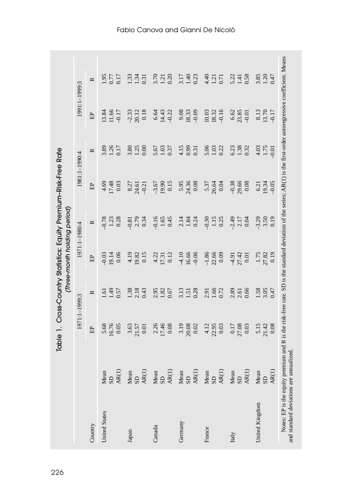|                      |                                                                                                                                                                                                                                                                                                                                                                                                                                                                          | 1971:1-1999:3             |                            |                             | 1971:1-1980:4              |                              | 1981:1-1990:4            | 1991:1-1999:3                |                        |
|----------------------|--------------------------------------------------------------------------------------------------------------------------------------------------------------------------------------------------------------------------------------------------------------------------------------------------------------------------------------------------------------------------------------------------------------------------------------------------------------------------|---------------------------|----------------------------|-----------------------------|----------------------------|------------------------------|--------------------------|------------------------------|------------------------|
| Country              |                                                                                                                                                                                                                                                                                                                                                                                                                                                                          | EP                        | $\approx$                  | EP                          | $\approx$                  | EP                           | $\approx$                | ÊP                           | $\approx$              |
| <b>United States</b> | Mean<br>$\frac{\text{Mean}}{\text{AR}(1)}$                                                                                                                                                                                                                                                                                                                                                                                                                               | 16.76<br>0.05<br>5.68     | $1.61$<br>$1.49$<br>0.57   | 19.14<br>$-0.03$            | $0.78$<br>$1.23$<br>$0.28$ | 17.48<br>0.03<br>4.69        | 1.26<br>0.17<br>3.89     | 13.84<br>11.66<br>-0.17      | 0.17<br>1.95<br>0.77   |
| Japan                |                                                                                                                                                                                                                                                                                                                                                                                                                                                                          | 3.63<br>21.57<br>$0.01\,$ | $1.38$<br>$2.18$<br>$0.43$ | 4.19<br>0.15<br>19.82       | 2.79<br>0.34<br>$-0.81$    | 8.27<br>24.61<br>$-0.21$     | 3.80<br>1.25<br>0.00     | $0.18\,$<br>$-2.33$<br>20.12 | 1.34<br>1.33<br>0.31   |
| Canada               | $\begin{array}{l} \text{Mean} \\ \text{SD} \\ \text{A}\text{R}(1) \\ \text{Mean} \\ \text{Mean} \\ \text{Mean} \\ \text{Mean} \\ \text{Mean} \\ \text{Mean} \\ \text{M} \\ \text{Mean} \\ \text{M} \\ \text{M} \\ \text{M} \\ \text{M} \\ \text{M} \\ \text{M} \\ \text{M} \\ \text{M} \\ \text{M} \\ \text{M} \\ \text{M} \\ \text{M} \\ \text{M} \\ \text{M} \\ \text{M} \\ \text{M} \\ \text{M} \\ \text{M} \\ \text{M} \\ \text{M} \\ \text{M} \\ \text{M} \\ \text$ | 17.46<br>2.26<br>$0.08\,$ | 2.95<br>1.82<br>0.67       | 4.22<br>0.12<br>17.31       | $-0.16$<br>$1.65$<br>0.45  | 0.15<br>19.90<br>$-3.67$     | 1.03<br>5.67<br>0.37     | 14.43<br>$-0.22$<br>6.64     | 3.70<br>0.20<br>1.21   |
| Germany              |                                                                                                                                                                                                                                                                                                                                                                                                                                                                          | 3.19<br>20.08<br>$0.02\,$ | 3.13<br>0.28<br>1.51       | $-4.10$<br>16.66<br>$-0.06$ | 2.14<br>1.84<br>0.24       | 24.36<br>5.95<br>$0.08\,$    | 0.99<br>4.15<br>0.31     | 9.08<br>18.33<br>$-0.09$     | 3.17<br>1.40<br>0.23   |
| France               |                                                                                                                                                                                                                                                                                                                                                                                                                                                                          | $4.12$<br>22.95<br>0.03   | 1.66<br>0.72<br>2.91       | $\frac{-1.86}{22.66}$       | $-0.30$<br>$1.15$<br>0.25  | 5.37<br>26.64<br>0.04        | 5.06<br>$1.03$<br>$0.22$ | 18.32<br>10.03               | 4.40<br>1.21<br>0.71   |
| Italy                |                                                                                                                                                                                                                                                                                                                                                                                                                                                                          | $\frac{0.17}{27.08}$      | 0.66<br>2.89<br>2.61       | $4.91$<br>$27.42$<br>0.01   | $-2.49$<br>0.04<br>2.17    | $-0.38$<br>29.66<br>$0.08\,$ | 6.23<br>1.38             | 6.62<br>23.85<br>$-0.01$     | 0.58<br>5.22<br>1.41   |
| United Kingdom       | $\begin{array}{c} \text{Mean} \\ \text{SD} \\ \text{AR(I)} \end{array}$                                                                                                                                                                                                                                                                                                                                                                                                  | $\frac{5.15}{21.42}$      | $3.05$<br>0.47<br>1.58     | $\frac{1.75}{27.82}$        | $-3.29$<br>3.50<br>0.19    | 19.34<br>$-0.05$<br>6.21     | 4.03<br>1.75             | 13.70<br>8.13                | 3.85<br>$1.20$<br>0.47 |

# Fabio Canova and Gianni De Nicoló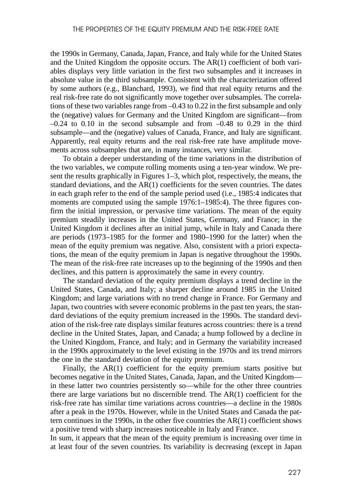the 1990s in Germany, Canada, Japan, France, and Italy while for the United States and the United Kingdom the opposite occurs. The AR(1) coefficient of both variables displays very little variation in the first two subsamples and it increases in absolute value in the third subsample. Consistent with the characterization offered by some authors (e.g., Blanchard, 1993), we find that real equity returns and the real risk-free rate do not significantly move together over subsamples. The correlations of these two variables range from –0.43 to 0.22 in the first subsample and only the (negative) values for Germany and the United Kingdom are significant—from  $-0.24$  to 0.10 in the second subsample and from  $-0.48$  to 0.29 in the third subsample—and the (negative) values of Canada, France, and Italy are significant. Apparently, real equity returns and the real risk-free rate have amplitude movements across subsamples that are, in many instances, very similar.

To obtain a deeper understanding of the time variations in the distribution of the two variables, we compute rolling moments using a ten-year window. We present the results graphically in Figures 1–3, which plot, respectively, the means, the standard deviations, and the AR(1) coefficients for the seven countries. The dates in each graph refer to the end of the sample period used (i.e., 1985:4 indicates that moments are computed using the sample 1976:1–1985:4). The three figures confirm the initial impression, or pervasive time variations. The mean of the equity premium steadily increases in the United States, Germany, and France; in the United Kingdom it declines after an initial jump, while in Italy and Canada there are periods (1973–1985 for the former and 1980–1990 for the latter) when the mean of the equity premium was negative. Also, consistent with a priori expectations, the mean of the equity premium in Japan is negative throughout the 1990s. The mean of the risk-free rate increases up to the beginning of the 1990s and then declines, and this pattern is approximately the same in every country.

The standard deviation of the equity premium displays a trend decline in the United States, Canada, and Italy; a sharper decline around 1985 in the United Kingdom; and large variations with no trend change in France. For Germany and Japan, two countries with severe economic problems in the past ten years, the standard deviations of the equity premium increased in the 1990s. The standard deviation of the risk-free rate displays similar features across countries: there is a trend decline in the United States, Japan, and Canada; a hump followed by a decline in the United Kingdom, France, and Italy; and in Germany the variability increased in the 1990s approximately to the level existing in the 1970s and its trend mirrors the one in the standard deviation of the equity premium.

Finally, the AR(1) coefficient for the equity premium starts positive but becomes negative in the United States, Canada, Japan, and the United Kingdom in these latter two countries persistently so—while for the other three countries there are large variations but no discernible trend. The  $AR(1)$  coefficient for the risk-free rate has similar time variations across countries—a decline in the 1980s after a peak in the 1970s. However, while in the United States and Canada the pattern continues in the 1990s, in the other five countries the AR(1) coefficient shows a positive trend with sharp increases noticeable in Italy and France.

In sum, it appears that the mean of the equity premium is increasing over time in at least four of the seven countries. Its variability is decreasing (except in Japan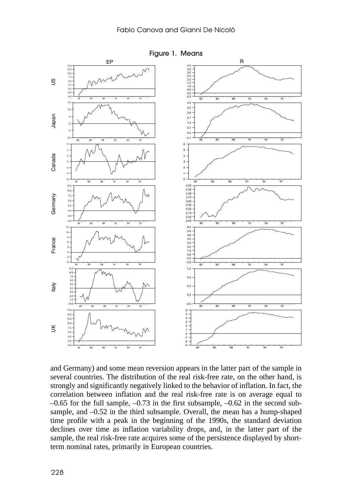

and Germany) and some mean reversion appears in the latter part of the sample in several countries. The distribution of the real risk-free rate, on the other hand, is strongly and significantly negatively linked to the behavior of inflation. In fact, the correlation between inflation and the real risk-free rate is on average equal to  $-0.65$  for the full sample,  $-0.73$  in the first subsample,  $-0.62$  in the second subsample, and –0.52 in the third subsample. Overall, the mean has a hump-shaped time profile with a peak in the beginning of the 1990s, the standard deviation declines over time as inflation variability drops, and, in the latter part of the sample, the real risk-free rate acquires some of the persistence displayed by shortterm nominal rates, primarily in European countries.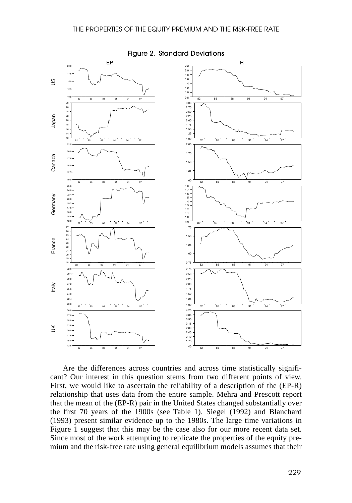#### THE PROPERTIES OF THE EQUITY PREMIUM AND THE RISK-FREE RATE



Figure 2. Standard Deviations

Are the differences across countries and across time statistically significant? Our interest in this question stems from two different points of view. First, we would like to ascertain the reliability of a description of the (EP-R) relationship that uses data from the entire sample. Mehra and Prescott report that the mean of the (EP-R) pair in the United States changed substantially over the first 70 years of the 1900s (see Table 1). Siegel (1992) and Blanchard (1993) present similar evidence up to the 1980s. The large time variations in Figure 1 suggest that this may be the case also for our more recent data set. Since most of the work attempting to replicate the properties of the equity premium and the risk-free rate using general equilibrium models assumes that their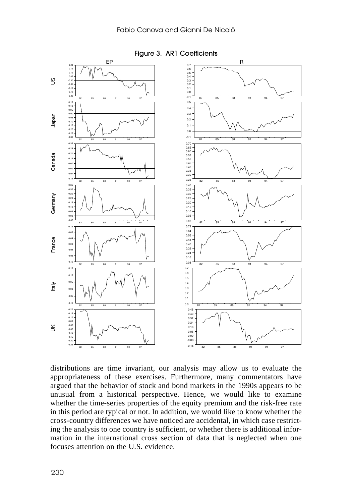

Figure 3. AR1 Coefficients

distributions are time invariant, our analysis may allow us to evaluate the appropriateness of these exercises. Furthermore, many commentators have argued that the behavior of stock and bond markets in the 1990s appears to be unusual from a historical perspective. Hence, we would like to examine whether the time-series properties of the equity premium and the risk-free rate in this period are typical or not. In addition, we would like to know whether the cross-country differences we have noticed are accidental, in which case restricting the analysis to one country is sufficient, or whether there is additional information in the international cross section of data that is neglected when one focuses attention on the U.S. evidence.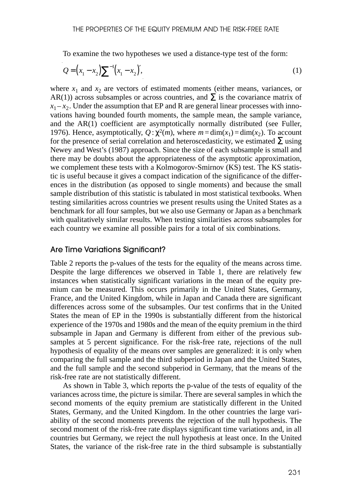To examine the two hypotheses we used a distance-type test of the form:

$$
Q = (x_1 - x_2) \sum_{i=1}^{n} (x_1 - x_2)^{i},
$$
\n(1)

where  $x_1$  and  $x_2$  are vectors of estimated moments (either means, variances, or AR(1)) across subsamples or across countries, and  $\Sigma$  is the covariance matrix of  $x_1 - x_2$ . Under the assumption that EP and R are general linear processes with innovations having bounded fourth moments, the sample mean, the sample variance, and the AR(1) coefficient are asymptotically normally distributed (see Fuller, 1976). Hence, asymptotically,  $Q: \chi^2(m)$ , where  $m = \dim(x_1) = \dim(x_2)$ . To account for the presence of serial correlation and heteroscedasticity, we estimated  $\Sigma$  using Newey and West's (1987) approach. Since the size of each subsample is small and there may be doubts about the appropriateness of the asymptotic approximation, we complement these tests with a Kolmogorov-Smirnov (KS) test. The KS statistic is useful because it gives a compact indication of the significance of the differences in the distribution (as opposed to single moments) and because the small sample distribution of this statistic is tabulated in most statistical textbooks. When testing similarities across countries we present results using the United States as a benchmark for all four samples, but we also use Germany or Japan as a benchmark with qualitatively similar results. When testing similarities across subsamples for each country we examine all possible pairs for a total of six combinations.

### Are Time Variations Significant?

Table 2 reports the p-values of the tests for the equality of the means across time. Despite the large differences we observed in Table 1, there are relatively few instances when statistically significant variations in the mean of the equity premium can be measured. This occurs primarily in the United States, Germany, France, and the United Kingdom, while in Japan and Canada there are significant differences across some of the subsamples. Our test confirms that in the United States the mean of EP in the 1990s is substantially different from the historical experience of the 1970s and 1980s and the mean of the equity premium in the third subsample in Japan and Germany is different from either of the previous subsamples at 5 percent significance. For the risk-free rate, rejections of the null hypothesis of equality of the means over samples are generalized: it is only when comparing the full sample and the third subperiod in Japan and the United States, and the full sample and the second subperiod in Germany, that the means of the risk-free rate are not statistically different.

As shown in Table 3, which reports the p-value of the tests of equality of the variances across time, the picture is similar. There are several samples in which the second moments of the equity premium are statistically different in the United States, Germany, and the United Kingdom. In the other countries the large variability of the second moments prevents the rejection of the null hypothesis. The second moment of the risk-free rate displays significant time variations and, in all countries but Germany, we reject the null hypothesis at least once. In the United States, the variance of the risk-free rate in the third subsample is substantially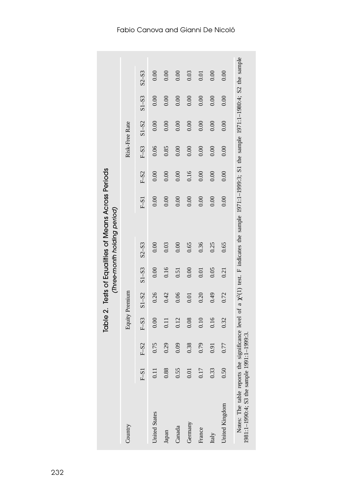Notes: The table reports the significance level of a  $\chi^2(1)$  test. F indicates the sample 1971:1-1999:3; S1 the sample 1971:1-1980:4; S2 the sample 1981:1-1990:4; S3 the sample 1991:1-1999:3. Notes: The table reports the significance level of a  $\chi^2(1)$  test. F indicates the sample 1971:1–1999:3; S1 the sample 1971:1–1980:4; S2 the sample  $S2-S3$  $0.00$  $0.00$  $0.00$ 0.03  $0.00$  $0.00$  $0.01$ F–S1 F–S2 F–S3 S1–S2 S1–S3 S2–S3 F–S1 F–S2 F–S3 S1–S2 S1–S3 S2–S3 0.11 0.000 0.000 0.000 0.000 0.000 0.000 0.000 0.000 0.000 0.000 0.000 0.000 0.000 0.000 0.000 0.000 0.000 0.0<br>| 0010 0.0010 0.8910 0.0010 0.0010 0.010 0.2110 0.2110 1.110 0.010 0.000 0.000 0.000 0.000 0.000 0.000 0.000 0.0<br>0.000 0.0010 0.0010 0.0010 0.0010 0.0010 0.0110 0.01110 0.0110 0.0110 0.0110 0.01 Canada 0.55 0.09 0.12 0.06 0.51 0.00 0.00 0.00 0.00 0.00 0.00 0.00 GOO 0.001 0.001 0.010 0.010 0.010 0.010 0.010 0.010 0.010 0.010 0.010 0.010 0.010 0.010 0.010 0.010 0.010 0.04 0010 0.0010 0.0010 0.016 0.016 0.016 0.217 0.4910 0.4910 0.4910 0.4910 0.016 0.016 0.0010 0.0010 0.0010 0.0010 United Kingdom 0.50 0.77 0.32 0.72 0.21 0.65 0.00 0.00 0.00 0.00 0.00 0.00 IO10 0.0010 0.0010 0.0010 0.0010 0.2010 0.0110 0.0110 0.0110 0.0110 0.0110 0.0110 0.0110 0.0110 0.01  $S1 - S3$  $0.00$  $0.00$  $0.00$  $0.00$  $0.00$  $0.00$  $0.00$  $S1 - S2$  $0.00$  $0.00$  $0.00$  $0.00$  $0.00$  $0.00$  $0.00$ Risk-Free Rate Country Equity Premium Risk-Free Rate  $F- S3$ 0.06 0.85  $0.00$  $0.00$  $0.00$  $0.00$  $0.00$ Table 2. Tests of Equalities of Means Across Periods Table 2. Tests of Equalities of Means Across Periods 0.16  $\text{F-S2}$  $0.00$  $0.00$  $0.00$  $0.00$  $0.00$  $0.00$  $0.00$  $0.00$  $0.00$  $0.00$  $\mathop{\text{F-S}}\nolimits$  $0.00$  $0.00$  $0.00$ (Three-month holding period) *(Three-month holding period)*  $S2-S3$  $0.00$ 0.03  $0.00$ 0.65 0.36 0.25 0.65  $S1 - S3$  $0.00$  $0.16$  $0.05$  $0.00$  $0.51$  $0.01$  $0.21$ Equity Premium  $S1-S2$  $0.26$  $0.42$ 0.06  $0.20$  $64.0$  $0.72$  $0.01$  $F-S3$ 0.16  $0.00$  $0.11$ 0.12  $0.08$  $0.10$ 0.32 1981:1–1990:4; S3 the sample 1991:1–1999:3. $\mbox{F-S2}$ 0.75 0.29  $0.09$ 0.38 0.79 0.77  $0.91$  $0.88$ 0.55 0.17 0.33 0.50  $\mbox{F-S1}$  $0.11$  $0.01$ United Kingdom United States Germany Country Canada France Japan Italy

### Fabio Canova and Gianni De Nicoló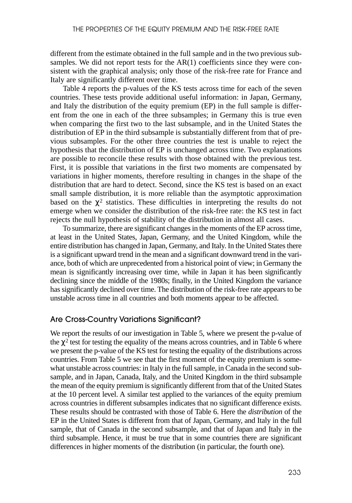different from the estimate obtained in the full sample and in the two previous subsamples. We did not report tests for the  $AR(1)$  coefficients since they were consistent with the graphical analysis; only those of the risk-free rate for France and Italy are significantly different over time.

Table 4 reports the p-values of the KS tests across time for each of the seven countries. These tests provide additional useful information: in Japan, Germany, and Italy the distribution of the equity premium (EP) in the full sample is different from the one in each of the three subsamples; in Germany this is true even when comparing the first two to the last subsample, and in the United States the distribution of EP in the third subsample is substantially different from that of previous subsamples. For the other three countries the test is unable to reject the hypothesis that the distribution of EP is unchanged across time. Two explanations are possible to reconcile these results with those obtained with the previous test. First, it is possible that variations in the first two moments are compensated by variations in higher moments, therefore resulting in changes in the shape of the distribution that are hard to detect. Second, since the KS test is based on an exact small sample distribution, it is more reliable than the asymptotic approximation based on the  $\chi^2$  statistics. These difficulties in interpreting the results do not emerge when we consider the distribution of the risk-free rate: the KS test in fact rejects the null hypothesis of stability of the distribution in almost all cases.

To summarize, there are significant changes in the moments of the EP across time, at least in the United States, Japan, Germany, and the United Kingdom, while the entire distribution has changed in Japan, Germany, and Italy. In the United States there is a significant upward trend in the mean and a significant downward trend in the variance, both of which are unprecedented from a historical point of view; in Germany the mean is significantly increasing over time, while in Japan it has been significantly declining since the middle of the 1980s; finally, in the United Kingdom the variance has significantly declined over time. The distribution of the risk-free rate appears to be unstable across time in all countries and both moments appear to be affected.

### Are Cross-Country Variations Significant?

We report the results of our investigation in Table 5, where we present the p-value of the  $\chi^2$  test for testing the equality of the means across countries, and in Table 6 where we present the p-value of the KS test for testing the equality of the distributions across countries. From Table 5 we see that the first moment of the equity premium is somewhat unstable across countries: in Italy in the full sample, in Canada in the second subsample, and in Japan, Canada, Italy, and the United Kingdom in the third subsample the mean of the equity premium is significantly different from that of the United States at the 10 percent level. A similar test applied to the variances of the equity premium across countries in different subsamples indicates that no significant difference exists. These results should be contrasted with those of Table 6. Here the *distribution* of the EP in the United States is different from that of Japan, Germany, and Italy in the full sample, that of Canada in the second subsample, and that of Japan and Italy in the third subsample. Hence, it must be true that in some countries there are significant differences in higher moments of the distribution (in particular, the fourth one).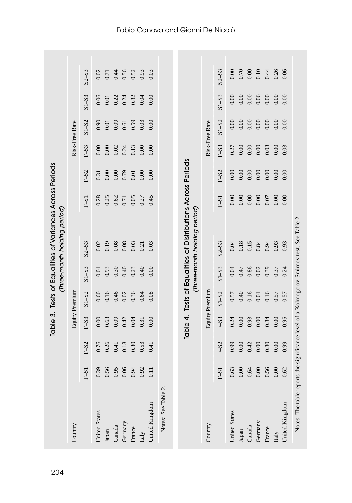| Country              |                  |          |          | Equity Premium |           |                                                                                     |        |        |               | Risk-Free Rate |           |           |
|----------------------|------------------|----------|----------|----------------|-----------|-------------------------------------------------------------------------------------|--------|--------|---------------|----------------|-----------|-----------|
|                      | $F-S1$           | $F-S2$   |          | $S1 - S2$      | $S1 - S3$ | $S2 - S3$                                                                           | $F-S1$ | $F-S2$ |               | $S1 - S2$      | $S1 - S3$ |           |
|                      |                  |          | $F-S3$   |                |           |                                                                                     |        |        | $\text{F-S3}$ |                |           | $S2 - S3$ |
| <b>United States</b> | 0.39             | 0.76     | 0.00     | 0.60           | 0.01      | 0.02                                                                                | 0.28   | 0.31   | 0.00          | 0.90           | 0.06      | 0.02      |
| Japan                | 0.56             | 0.26     | 0.63     | 0.16           | 0.93      | 0.19                                                                                | 0.25   | 0.00   | 0.00          | 0.01           | 0.01      | 0.71      |
| Canada               | 0.95             | 0.41     | 0.09     | 0.46           | 0.30      | 0.08                                                                                | 0.62   | 0.00   | 0.02          | 0.09           | 0.22      | 0.44      |
| Germany              | 0.06             | $0.18\,$ | 0.42     | 0.02           | 0.40      | $0.08\,$                                                                            | 0.71   | 0.79   | 0.24          | 0.61           | 0.24      | 0.56      |
| France               | 0.94             | 0.30     | 0.04     | 0.36           | 0.23      | $0.03$                                                                              | 0.05   | 0.01   | 0.13          | 0.59           | 0.82      | 0.52      |
| Italy                | 0.92             | 0.53     | 0.31     | 0.64           | 0.40      | 0.21                                                                                | 0.27   | 0.00   | 0.00          | 0.03           | 0.04      | 0.93      |
| United Kingdom       | $\overline{0}$ . | 0.41     | 0.00     | 0.08           | 0.00      | 0.03                                                                                | 0.45   | 0.00   | 0.00          | 0.00           | 0.00      | 0.03      |
|                      |                  |          | Table 4. |                |           | Tests of Equalities of Distributions Across Periods<br>(Three-month holding period) |        |        |               |                |           |           |
| Country              |                  |          |          | Equity Premium |           |                                                                                     |        |        |               | Risk-Free Rate |           |           |
|                      | $F-S1$           | $F-S2$   | $F-S3$   | $S1 - S2$      | $S1 - S3$ | $S2 - S3$                                                                           | $F-S1$ | $F-S2$ | $F-S3$        | $S1 - S2$      | $S1 - S3$ | $S2 - S3$ |
| <b>United States</b> | 0.63             | 0.99     | 0.24     | 0.57           | 0.04      | 0.04                                                                                | 0.00   | 0.00   | 0.27          | 0.00           | 0.00      | 0.00      |
| ${\rm Japan}$        | 0.00             | 0.00     | 0.00     | 0.40           | 0.47      | $0.18\,$                                                                            | 0.00   | 0.00   | 0.00          | 0.00           | 0.00      | 0.70      |
| Canada               | 0.64             | 0.42     | 0.93     | 0.16           | 0.86      | 0.15                                                                                | 0.00   | 0.00   | 0.00          | 0.00           | 0.00      | 0.00      |
| Germany              | 0.00             | 0.00     | $0.00\,$ | 0.01           | 0.02      | 0.84                                                                                | 0.00   | 0.00   | 0.00          | 0.00           | 0.06      | 0.10      |
| France               | 0.56             | $0.80\,$ | 0.84     | 0.16           | 0.39      | 0.94                                                                                | 0.07   | 0.00   | 0.03          | 0.00           | 0.00      | 0.44      |
| Italy                | 0.00             | $0.00$   | 0.00     | 0.57           | 0.37      | 0.93                                                                                | 0.00   | 0.00   | 0.00          | 0.00           | 0.00      | 0.26      |
| United Kingdom       | 0.62             | 0.99     | 0.95     | 0.57           | 0.24      | 0.93                                                                                | 0.00   | 0.00   | 0.03          | 0.00           | 0.00      | 0.06      |

## Fabio Canova and Gianni De Nicoló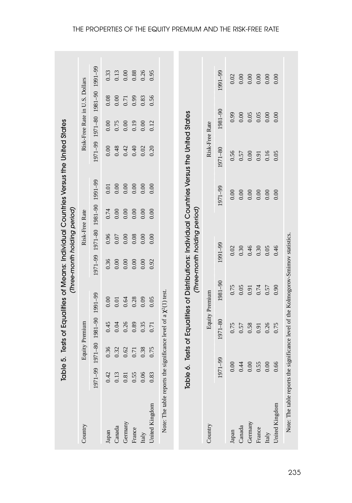|                                                                                      | Table    |                |                     | 5. Tests of Equalities of Means: Individual Countries Versus the United States      | (Three-month holding period) |          |                     |          |          |                                 |      |          |
|--------------------------------------------------------------------------------------|----------|----------------|---------------------|-------------------------------------------------------------------------------------|------------------------------|----------|---------------------|----------|----------|---------------------------------|------|----------|
| Country                                                                              |          |                | Equity Premium      |                                                                                     |                              |          | Risk-Free Rate      |          |          | Risk-Free Rate in U.S. Dollars  |      |          |
|                                                                                      | 1971-99  |                | 1971-80 1981 09-199 |                                                                                     | 971-99                       |          | 1971-80 1981 09-199 |          |          | 06-1901 06-1801 08-1701 06-1701 |      |          |
| Japan                                                                                | 0.42     | 0.36           | 0.45                | 0.00                                                                                | 0.36                         | 0.96     | 0.74                | 0.01     | 0.00     | 0.00                            | 0.08 | 0.33     |
| Canada                                                                               | 0.13     | 0.32           | 0.04                | $0.01\,$                                                                            | $0.00\,$                     | $0.07\,$ | $0.00\,$            | $0.00\,$ | 0.48     | 0.75                            | 0.00 | 0.13     |
| Germany                                                                              | $0.81\,$ |                | 0.26                | 0.64                                                                                | 0.00                         | 0.00     | 0.00                | 0.00     | 0.42     | 0.00                            | 0.71 | $0.00\,$ |
| France                                                                               | 0.55     | $0.62$<br>0.71 | 0.89                | 0.28                                                                                | 0.00                         | 0.08     | 0.00                | $0.00$   | 0.40     | 0.19                            | 0.99 | $0.88\,$ |
| Italy                                                                                | 0.06     | 0.38           | 0.35                | 0.09                                                                                | 0.00                         | 0.00     | 0.00                | 0.00     | 0.02     | 0.00                            | 0.83 | 0.26     |
| United Kingdom                                                                       | 0.83     | 0.75           | 0.71                | 0.05                                                                                | 0.92                         | 0.00     | 0.00                | 0.00     | 0.20     | 0.12                            | 0.56 | 0.95     |
|                                                                                      | Table 6. |                |                     | Tests of Equalities of Distributions: Individual Countries Versus the United States | (Three-month holding period) |          |                     |          |          |                                 |      |          |
| Country                                                                              |          |                |                     | Equity Premium                                                                      |                              |          |                     |          |          | Risk-Free Rate                  |      |          |
|                                                                                      | 1971-99  |                | 1971-80             | 1981-90                                                                             |                              | 1991-99  |                     | 1971-99  | 1971-80  | 1981-90                         |      | 1991-99  |
| Japan                                                                                |          | $0.00\,$       | 0.75                | 0.75                                                                                |                              | $0.02\,$ |                     | 0.00     | 0.56     | 0.99                            |      | 0.02     |
| Canada                                                                               | 0.44     |                | $0.57\,$            | 0.05                                                                                |                              | 0.30     |                     | $0.00\,$ | 0.57     | $0.00\,$                        |      |          |
| Germany                                                                              |          | 0.00           | 0.58                | 0.91                                                                                |                              | 0.46     |                     | $0.00\,$ | $0.00\,$ | 0.05                            |      |          |
| France                                                                               |          | 0.55           | 0.91                | 0.74                                                                                |                              | 0.30     |                     | $0.00\,$ | 0.91     | $0.05\,$                        |      |          |
| Italy                                                                                |          | 0.00           | 0.26                | 0.57                                                                                |                              | 0.05     |                     | 0.00     | 0.16     | 0.00                            |      |          |
| United Kingdom                                                                       |          | 0.66           | 0.75                | 0.90                                                                                |                              | 0.46     |                     | 0.00     | 0.05     | 0.00                            |      | 0.00     |
| Note: The table reports the significance level of the Kolmogorov-Smirnov statistics. |          |                |                     |                                                                                     |                              |          |                     |          |          |                                 |      |          |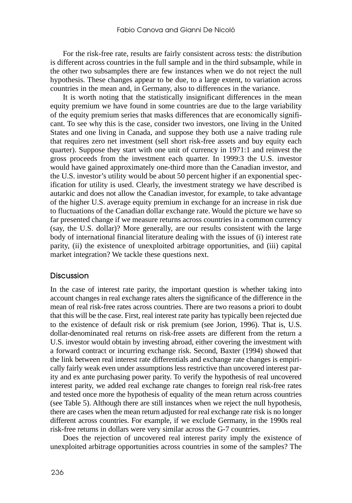For the risk-free rate, results are fairly consistent across tests: the distribution is different across countries in the full sample and in the third subsample, while in the other two subsamples there are few instances when we do not reject the null hypothesis. These changes appear to be due, to a large extent, to variation across countries in the mean and, in Germany, also to differences in the variance.

It is worth noting that the statistically insignificant differences in the mean equity premium we have found in some countries are due to the large variability of the equity premium series that masks differences that are economically significant. To see why this is the case, consider two investors, one living in the United States and one living in Canada, and suppose they both use a naive trading rule that requires zero net investment (sell short risk-free assets and buy equity each quarter). Suppose they start with one unit of currency in 1971:1 and reinvest the gross proceeds from the investment each quarter. In 1999:3 the U.S. investor would have gained approximately one-third more than the Canadian investor, and the U.S. investor's utility would be about 50 percent higher if an exponential specification for utility is used. Clearly, the investment strategy we have described is autarkic and does not allow the Canadian investor, for example, to take advantage of the higher U.S. average equity premium in exchange for an increase in risk due to fluctuations of the Canadian dollar exchange rate. Would the picture we have so far presented change if we measure returns across countries in a common currency (say, the U.S. dollar)? More generally, are our results consistent with the large body of international financial literature dealing with the issues of (i) interest rate parity, (ii) the existence of unexploited arbitrage opportunities, and (iii) capital market integration? We tackle these questions next.

### Discussion

In the case of interest rate parity, the important question is whether taking into account changes in real exchange rates alters the significance of the difference in the mean of real risk-free rates across countries. There are two reasons a priori to doubt that this will be the case. First, real interest rate parity has typically been rejected due to the existence of default risk or risk premium (see Jorion, 1996). That is, U.S. dollar-denominated real returns on risk-free assets are different from the return a U.S. investor would obtain by investing abroad, either covering the investment with a forward contract or incurring exchange risk. Second, Baxter (1994) showed that the link between real interest rate differentials and exchange rate changes is empirically fairly weak even under assumptions less restrictive than uncovered interest parity and ex ante purchasing power parity. To verify the hypothesis of real uncovered interest parity, we added real exchange rate changes to foreign real risk-free rates and tested once more the hypothesis of equality of the mean return across countries (see Table 5). Although there are still instances when we reject the null hypothesis, there are cases when the mean return adjusted for real exchange rate risk is no longer different across countries. For example, if we exclude Germany, in the 1990s real risk-free returns in dollars were very similar across the G-7 countries.

Does the rejection of uncovered real interest parity imply the existence of unexploited arbitrage opportunities across countries in some of the samples? The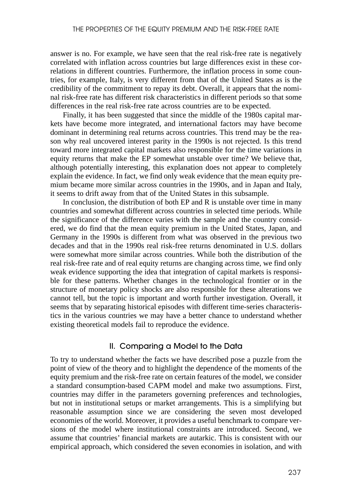answer is no. For example, we have seen that the real risk-free rate is negatively correlated with inflation across countries but large differences exist in these correlations in different countries. Furthermore, the inflation process in some countries, for example, Italy, is very different from that of the United States as is the credibility of the commitment to repay its debt. Overall, it appears that the nominal risk-free rate has different risk characteristics in different periods so that some differences in the real risk-free rate across countries are to be expected.

Finally, it has been suggested that since the middle of the 1980s capital markets have become more integrated, and international factors may have become dominant in determining real returns across countries. This trend may be the reason why real uncovered interest parity in the 1990s is not rejected. Is this trend toward more integrated capital markets also responsible for the time variations in equity returns that make the EP somewhat unstable over time? We believe that, although potentially interesting, this explanation does not appear to completely explain the evidence. In fact, we find only weak evidence that the mean equity premium became more similar across countries in the 1990s, and in Japan and Italy, it seems to drift away from that of the United States in this subsample.

In conclusion, the distribution of both EP and R is unstable over time in many countries and somewhat different across countries in selected time periods. While the significance of the difference varies with the sample and the country considered, we do find that the mean equity premium in the United States, Japan, and Germany in the 1990s is different from what was observed in the previous two decades and that in the 1990s real risk-free returns denominated in U.S. dollars were somewhat more similar across countries. While both the distribution of the real risk-free rate and of real equity returns are changing across time, we find only weak evidence supporting the idea that integration of capital markets is responsible for these patterns. Whether changes in the technological frontier or in the structure of monetary policy shocks are also responsible for these alterations we cannot tell, but the topic is important and worth further investigation. Overall, it seems that by separating historical episodes with different time-series characteristics in the various countries we may have a better chance to understand whether existing theoretical models fail to reproduce the evidence.

### II. Comparing a Model to the Data

To try to understand whether the facts we have described pose a puzzle from the point of view of the theory and to highlight the dependence of the moments of the equity premium and the risk-free rate on certain features of the model, we consider a standard consumption-based CAPM model and make two assumptions. First, countries may differ in the parameters governing preferences and technologies, but not in institutional setups or market arrangements. This is a simplifying but reasonable assumption since we are considering the seven most developed economies of the world. Moreover, it provides a useful benchmark to compare versions of the model where institutional constraints are introduced. Second, we assume that countries' financial markets are autarkic. This is consistent with our empirical approach, which considered the seven economies in isolation, and with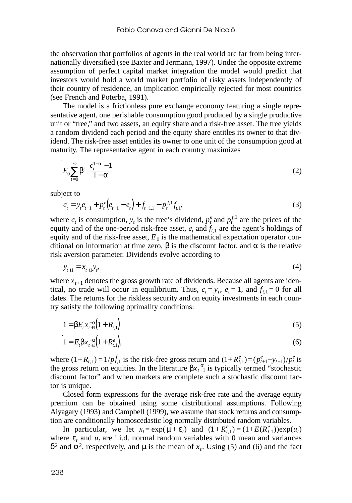the observation that portfolios of agents in the real world are far from being internationally diversified (see Baxter and Jermann, 1997). Under the opposite extreme assumption of perfect capital market integration the model would predict that investors would hold a world market portfolio of risky assets independently of their country of residence, an implication empirically rejected for most countries (see French and Poterba, 1991).

The model is a frictionless pure exchange economy featuring a single representative agent, one perishable consumption good produced by a single productive unit or "tree," and two assets, an equity share and a risk-free asset. The tree yields a random dividend each period and the equity share entitles its owner to that dividend. The risk-free asset entitles its owner to one unit of the consumption good at maturity. The representative agent in each country maximizes

$$
E_0 \sum_{t=0}^{\infty} \beta^t \left( \frac{c_t^{1-\alpha} - 1}{1 - \alpha} \right) \tag{2}
$$

subject to

$$
c_{t} = y_{t}e_{t-1} + p_{t}^{e}(e_{t-1} - e_{t}) + f_{t-1,1} - p_{t}^{f,1}f_{t,1},
$$
\n(3)

where  $c_t$  is consumption,  $y_t$  is the tree's dividend,  $p_t^e$  and  $p_t^{f,1}$  are the prices of the equity and of the one-period risk-free asset,  $e_t$  and  $f_{t,1}$  are the agent's holdings of equity and of the risk-free asset,  $E_0$  is the mathematical expectation operator conditional on information at time zero, β is the discount factor, and α is the relative risk aversion parameter. Dividends evolve according to

$$
y_{t+1} = x_{t+1} y_t, \tag{4}
$$

where  $x_{t+1}$  denotes the gross growth rate of dividends. Because all agents are identical, no trade will occur in equilibrium. Thus,  $c_t = y_t$ ,  $e_t = 1$ , and  $f_{t,1} = 0$  for all dates. The returns for the riskless security and on equity investments in each country satisfy the following optimality conditions:

$$
1 = \beta E_t x_{t+1}^{-\alpha} \left( 1 + R_{t,1} \right) \tag{5}
$$

$$
1 = E_t \beta x_{t+1}^{-\alpha} \Big( 1 + R_{t,1}^e \Big), \tag{6}
$$

where  $(1+R_{t,1}) = 1/p_{t,1}^f$  is the risk-free gross return and  $(1+R_{t,1}^e) = (p_{t+1}^e + y_{t+1})/p_t^e$  is the gross return on equities. In the literature  $\beta x_{t+1}^{-\alpha}$  is typically termed "stochastic discount factor" and when markets are complete such a stochastic discount factor is unique.

Closed form expressions for the average risk-free rate and the average equity premium can be obtained using some distributional assumptions. Following Aiyagary (1993) and Campbell (1999), we assume that stock returns and consumption are conditionally homoscedastic log normally distributed random variables.

In particular, we let  $x_t = \exp(\mu + \varepsilon_t)$  and  $(1 + R_{t,1}^e) = (1 + E(R_{t,1}^e))\exp(u_t)$ where  $\varepsilon_t$  and  $u_t$  are i.i.d. normal random variables with 0 mean and variances  $δ<sup>2</sup>$  and  $σ<sup>2</sup>$ , respectively, and  $μ$  is the mean of  $x_t$ . Using (5) and (6) and the fact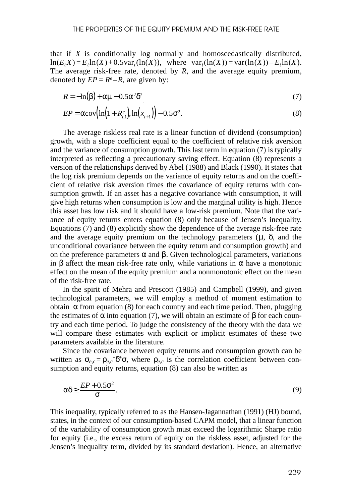that if *X* is conditionally log normally and homoscedastically distributed,  $ln(E_tX) = E_tln(X) + 0.5var_t(ln(X))$ , where  $var_t(ln(X)) = var(ln(X)) - E_tln(X)$ . The average risk-free rate, denoted by *R*, and the average equity premium, denoted by  $EP = R^e - R$ , are given by:

$$
R = -\ln(\beta) + \alpha\mu - 0.5\alpha^2\delta^2\tag{7}
$$

$$
EP = \alpha \text{cov}\Big(\ln\Big(1 + R_{t,1}^e\Big), \ln\Big(x_{t+1}\Big)\Big) - 0.5\sigma^2. \tag{8}
$$

The average riskless real rate is a linear function of dividend (consumption) growth, with a slope coefficient equal to the coefficient of relative risk aversion and the variance of consumption growth. This last term in equation (7) is typically interpreted as reflecting a precautionary saving effect. Equation (8) represents a version of the relationships derived by Abel (1988) and Black (1990). It states that the log risk premium depends on the variance of equity returns and on the coefficient of relative risk aversion times the covariance of equity returns with consumption growth. If an asset has a negative covariance with consumption, it will give high returns when consumption is low and the marginal utility is high. Hence this asset has low risk and it should have a low-risk premium. Note that the variance of equity returns enters equation (8) only because of Jensen's inequality. Equations (7) and (8) explicitly show the dependence of the average risk-free rate and the average equity premium on the technology parameters  $(\mu, \delta)$ , and the unconditional covariance between the equity return and consumption growth) and on the preference parameters  $\alpha$  and  $\beta$ . Given technological parameters, variations in β affect the mean risk-free rate only, while variations in α have a monotonic effect on the mean of the equity premium and a nonmonotonic effect on the mean of the risk-free rate.

In the spirit of Mehra and Prescott (1985) and Campbell (1999), and given technological parameters, we will employ a method of moment estimation to obtain  $\alpha$  from equation (8) for each country and each time period. Then, plugging the estimates of  $\alpha$  into equation (7), we will obtain an estimate of  $\beta$  for each country and each time period. To judge the consistency of the theory with the data we will compare these estimates with explicit or implicit estimates of these two parameters available in the literature.

Since the covariance between equity returns and consumption growth can be written as  $\sigma_{e,c} = \rho_{e,c}$ <sup>\*</sup>δ<sup>\*</sup> $\sigma$ , where  $\rho_{e,c}$  is the correlation coefficient between consumption and equity returns, equation (8) can also be written as

$$
\alpha \delta \ge \frac{EP + 0.5\sigma^2}{\sigma}.
$$
\n(9)

This inequality, typically referred to as the Hansen-Jagannathan (1991) (HJ) bound, states, in the context of our consumption-based CAPM model, that a linear function of the variability of consumption growth must exceed the logarithmic Sharpe ratio for equity (i.e., the excess return of equity on the riskless asset, adjusted for the Jensen's inequality term, divided by its standard deviation). Hence, an alternative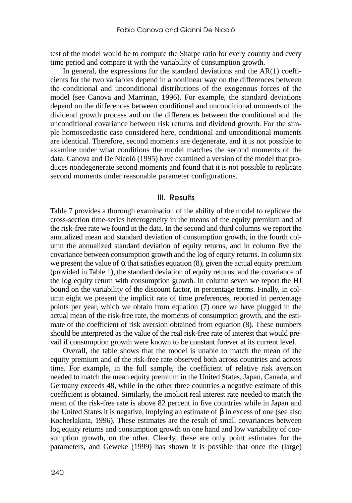test of the model would be to compute the Sharpe ratio for every country and every time period and compare it with the variability of consumption growth.

In general, the expressions for the standard deviations and the  $AR(1)$  coefficients for the two variables depend in a nonlinear way on the differences between the conditional and unconditional distributions of the exogenous forces of the model (see Canova and Marrinan, 1996). For example, the standard deviations depend on the differences between conditional and unconditional moments of the dividend growth process and on the differences between the conditional and the unconditional covariance between risk returns and dividend growth. For the simple homoscedastic case considered here, conditional and unconditional moments are identical. Therefore, second moments are degenerate, and it is not possible to examine under what conditions the model matches the second moments of the data. Canova and De Nicoló (1995) have examined a version of the model that produces nondegenerate second moments and found that it is not possible to replicate second moments under reasonable parameter configurations.

### III. Results

Table 7 provides a thorough examination of the ability of the model to replicate the cross-section time-series heterogeneity in the means of the equity premium and of the risk-free rate we found in the data. In the second and third columns we report the annualized mean and standard deviation of consumption growth, in the fourth column the annualized standard deviation of equity returns, and in column five the covariance between consumption growth and the log of equity returns. In column six we present the value of  $\alpha$  that satisfies equation (8), given the actual equity premium (provided in Table 1), the standard deviation of equity returns, and the covariance of the log equity return with consumption growth. In column seven we report the HJ bound on the variability of the discount factor, in percentage terms. Finally, in column eight we present the implicit rate of time preferences, reported in percentage points per year, which we obtain from equation (7) once we have plugged in the actual mean of the risk-free rate, the moments of consumption growth, and the estimate of the coefficient of risk aversion obtained from equation (8). These numbers should be interpreted as the value of the real risk-free rate of interest that would prevail if consumption growth were known to be constant forever at its current level.

Overall, the table shows that the model is unable to match the mean of the equity premium and of the risk-free rate observed both across countries and across time. For example, in the full sample, the coefficient of relative risk aversion needed to match the mean equity premium in the United States, Japan, Canada, and Germany exceeds 48, while in the other three countries a negative estimate of this coefficient is obtained. Similarly, the implicit real interest rate needed to match the mean of the risk-free rate is above 82 percent in five countries while in Japan and the United States it is negative, implying an estimate of  $\beta$  in excess of one (see also Kocherlakota, 1996). These estimates are the result of small covariances between log equity returns and consumption growth on one hand and low variability of consumption growth, on the other. Clearly, these are only point estimates for the parameters, and Geweke (1999) has shown it is possible that once the (large)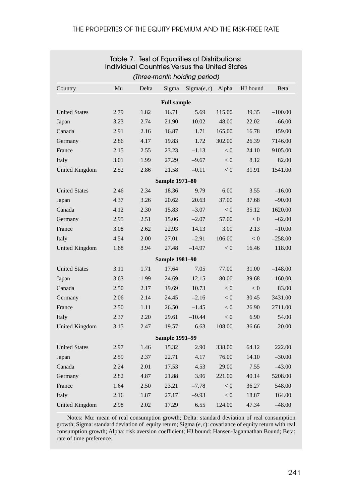|                      | Table 7. Test of Equalities of Distributions:<br><b>Individual Countries Versus the United States</b><br>(Three-month holding period) |       |                       |             |        |          |           |  |  |  |  |
|----------------------|---------------------------------------------------------------------------------------------------------------------------------------|-------|-----------------------|-------------|--------|----------|-----------|--|--|--|--|
|                      |                                                                                                                                       |       |                       |             |        |          |           |  |  |  |  |
| Country              | Mu                                                                                                                                    | Delta | Sigma                 | Sigma(e, c) | Alpha  | HJ bound | Beta      |  |  |  |  |
|                      |                                                                                                                                       |       | <b>Full sample</b>    |             |        |          |           |  |  |  |  |
| <b>United States</b> | 2.79                                                                                                                                  | 1.82  | 16.71                 | 5.69        | 115.00 | 39.35    | $-100.00$ |  |  |  |  |
| Japan                | 3.23                                                                                                                                  | 2.74  | 21.90                 | 10.02       | 48.00  | 22.02    | $-66.00$  |  |  |  |  |
| Canada               | 2.91                                                                                                                                  | 2.16  | 16.87                 | 1.71        | 165.00 | 16.78    | 159.00    |  |  |  |  |
| Germany              | 2.86                                                                                                                                  | 4.17  | 19.83                 | 1.72        | 302.00 | 26.39    | 7146.00   |  |  |  |  |
| France               | 2.15                                                                                                                                  | 2.55  | 23.23                 | $-1.13$     | < 0    | 24.10    | 9105.00   |  |  |  |  |
| Italy                | 3.01                                                                                                                                  | 1.99  | 27.29                 | $-9.67$     | < 0    | 8.12     | 82.00     |  |  |  |  |
| United Kingdom       | 2.52                                                                                                                                  | 2.86  | 21.58                 | $-0.11$     | < 0    | 31.91    | 1541.00   |  |  |  |  |
|                      |                                                                                                                                       |       | <b>Sample 1971-80</b> |             |        |          |           |  |  |  |  |
| <b>United States</b> | 2.46                                                                                                                                  | 2.34  | 18.36                 | 9.79        | 6.00   | 3.55     | $-16.00$  |  |  |  |  |
| Japan                | 4.37                                                                                                                                  | 3.26  | 20.62                 | 20.63       | 37.00  | 37.68    | $-90.00$  |  |  |  |  |
| Canada               | 4.12                                                                                                                                  | 2.30  | 15.83                 | $-3.07$     | < 0    | 35.12    | 1620.00   |  |  |  |  |
| Germany              | 2.95                                                                                                                                  | 2.51  | 15.06                 | $-2.07$     | 57.00  | < 0      | $-62.00$  |  |  |  |  |
| France               | 3.08                                                                                                                                  | 2.62  | 22.93                 | 14.13       | 3.00   | 2.13     | $-10.00$  |  |  |  |  |
| Italy                | 4.54                                                                                                                                  | 2.00  | 27.01                 | $-2.91$     | 106.00 | < 0      | $-258.00$ |  |  |  |  |
| United Kingdom       | 1.68                                                                                                                                  | 3.94  | 27.48                 | $-14.97$    | < 0    | 16.46    | 118.00    |  |  |  |  |
|                      |                                                                                                                                       |       | <b>Sample 1981-90</b> |             |        |          |           |  |  |  |  |
| <b>United States</b> | 3.11                                                                                                                                  | 1.71  | 17.64                 | 7.05        | 77.00  | 31.00    | $-148.00$ |  |  |  |  |
| Japan                | 3.63                                                                                                                                  | 1.99  | 24.69                 | 12.15       | 80.00  | 39.68    | $-160.00$ |  |  |  |  |
| Canada               | 2.50                                                                                                                                  | 2.17  | 19.69                 | 10.73       | < 0    | < 0      | 83.00     |  |  |  |  |
| Germany              | 2.06                                                                                                                                  | 2.14  | 24.45                 | $-2.16$     | < 0    | 30.45    | 3431.00   |  |  |  |  |
| France               | 2.50                                                                                                                                  | 1.11  | 26.50                 | $-1.45$     | < 0    | 26.90    | 2711.00   |  |  |  |  |
| Italy                | 2.37                                                                                                                                  | 2.20  | 29.61                 | $-10.44$    | < 0    | 6.90     | 54.00     |  |  |  |  |
| United Kingdom       | 3.15                                                                                                                                  | 2.47  | 19.57                 | 6.63        | 108.00 | 36.66    | 20.00     |  |  |  |  |
|                      |                                                                                                                                       |       | <b>Sample 1991-99</b> |             |        |          |           |  |  |  |  |
| <b>United States</b> | 2.97                                                                                                                                  | 1.46  | 15.32                 | 2.90        | 338.00 | 64.12    | 222.00    |  |  |  |  |
| Japan                | 2.59                                                                                                                                  | 2.37  | 22.71                 | 4.17        | 76.00  | 14.10    | $-30.00$  |  |  |  |  |
| Canada               | 2.24                                                                                                                                  | 2.01  | 17.53                 | 4.53        | 29.00  | 7.55     | $-43.00$  |  |  |  |  |
| Germany              | 2.82                                                                                                                                  | 4.87  | 21.88                 | 3.96        | 221.00 | 40.14    | 5208.00   |  |  |  |  |
| France               | 1.64                                                                                                                                  | 2.50  | 23.21                 | $-7.78$     | < 0    | 36.27    | 548.00    |  |  |  |  |
| Italy                | 2.16                                                                                                                                  | 1.87  | 27.17                 | $-9.93$     | < 0    | 18.87    | 164.00    |  |  |  |  |
| United Kingdom       | 2.98                                                                                                                                  | 2.02  | 17.29                 | 6.55        | 124.00 | 47.34    | $-48.00$  |  |  |  |  |

Notes: Mu: mean of real consumption growth; Delta: standard deviation of real consumption growth; Sigma: standard deviation of equity return; Sigma (*e*,*c*): covariance of equity return with real consumption growth; Alpha: risk aversion coefficient; HJ bound: Hansen-Jagannathan Bound; Beta: rate of time preference.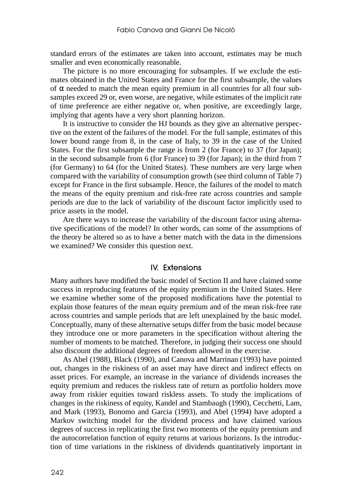standard errors of the estimates are taken into account, estimates may be much smaller and even economically reasonable.

The picture is no more encouraging for subsamples. If we exclude the estimates obtained in the United States and France for the first subsample, the values of  $\alpha$  needed to match the mean equity premium in all countries for all four subsamples exceed 29 or, even worse, are negative, while estimates of the implicit rate of time preference are either negative or, when positive, are exceedingly large, implying that agents have a very short planning horizon.

It is instructive to consider the HJ bounds as they give an alternative perspective on the extent of the failures of the model. For the full sample, estimates of this lower bound range from 8, in the case of Italy, to 39 in the case of the United States. For the first subsample the range is from 2 (for France) to 37 (for Japan); in the second subsample from 6 (for France) to 39 (for Japan); in the third from 7 (for Germany) to 64 (for the United States). These numbers are very large when compared with the variability of consumption growth (see third column of Table 7) except for France in the first subsample. Hence, the failures of the model to match the means of the equity premium and risk-free rate across countries and sample periods are due to the lack of variability of the discount factor implicitly used to price assets in the model.

Are there ways to increase the variability of the discount factor using alternative specifications of the model? In other words, can some of the assumptions of the theory be altered so as to have a better match with the data in the dimensions we examined? We consider this question next.

### IV. Extensions

Many authors have modified the basic model of Section II and have claimed some success in reproducing features of the equity premium in the United States. Here we examine whether some of the proposed modifications have the potential to explain those features of the mean equity premium and of the mean risk-free rate across countries and sample periods that are left unexplained by the basic model. Conceptually, many of these alternative setups differ from the basic model because they introduce one or more parameters in the specification without altering the number of moments to be matched. Therefore, in judging their success one should also discount the additional degrees of freedom allowed in the exercise.

As Abel (1988), Black (1990), and Canova and Marrinan (1993) have pointed out, changes in the riskiness of an asset may have direct and indirect effects on asset prices. For example, an increase in the variance of dividends increases the equity premium and reduces the riskless rate of return as portfolio holders move away from riskier equities toward riskless assets. To study the implications of changes in the riskiness of equity, Kandel and Stambaugh (1990), Cecchetti, Lam, and Mark (1993), Bonomo and Garcia (1993), and Abel (1994) have adopted a Markov switching model for the dividend process and have claimed various degrees of success in replicating the first two moments of the equity premium and the autocorrelation function of equity returns at various horizons. Is the introduction of time variations in the riskiness of dividends quantitatively important in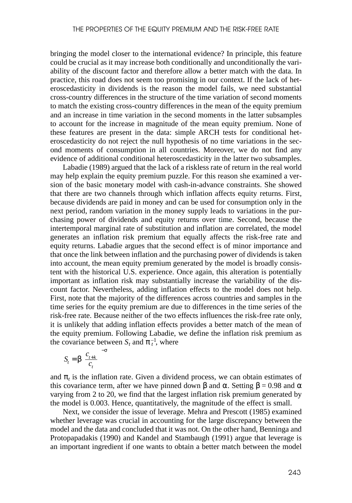bringing the model closer to the international evidence? In principle, this feature could be crucial as it may increase both conditionally and unconditionally the variability of the discount factor and therefore allow a better match with the data. In practice, this road does not seem too promising in our context. If the lack of heteroscedasticity in dividends is the reason the model fails, we need substantial cross-country differences in the structure of the time variation of second moments to match the existing cross-country differences in the mean of the equity premium and an increase in time variation in the second moments in the latter subsamples to account for the increase in magnitude of the mean equity premium. None of these features are present in the data: simple ARCH tests for conditional heteroscedasticity do not reject the null hypothesis of no time variations in the second moments of consumption in all countries. Moreover, we do not find any evidence of additional conditional heteroscedasticity in the latter two subsamples.

Labadie (1989) argued that the lack of a riskless rate of return in the real world may help explain the equity premium puzzle. For this reason she examined a version of the basic monetary model with cash-in-advance constraints. She showed that there are two channels through which inflation affects equity returns. First, because dividends are paid in money and can be used for consumption only in the next period, random variation in the money supply leads to variations in the purchasing power of dividends and equity returns over time. Second, because the intertemporal marginal rate of substitution and inflation are correlated, the model generates an inflation risk premium that equally affects the risk-free rate and equity returns. Labadie argues that the second effect is of minor importance and that once the link between inflation and the purchasing power of dividends is taken into account, the mean equity premium generated by the model is broadly consistent with the historical U.S. experience. Once again, this alteration is potentially important as inflation risk may substantially increase the variability of the discount factor. Nevertheless, adding inflation effects to the model does not help. First, note that the majority of the differences across countries and samples in the time series for the equity premium are due to differences in the time series of the risk-free rate. Because neither of the two effects influences the risk-free rate only, it is unlikely that adding inflation effects provides a better match of the mean of the equity premium. Following Labadie, we define the inflation risk premium as the covariance between  $S_t$  and  $\pi_t^{-1}$ , where

$$
S_t = \beta \left(\frac{c_{t+k}}{c_t}\right)^{-\sigma}
$$

and  $\pi_t$  is the inflation rate. Given a dividend process, we can obtain estimates of this covariance term, after we have pinned down β and  $\alpha$ . Setting β = 0.98 and  $\alpha$ varying from 2 to 20, we find that the largest inflation risk premium generated by the model is 0.003. Hence, quantitatively, the magnitude of the effect is small.

Next, we consider the issue of leverage. Mehra and Prescott (1985) examined whether leverage was crucial in accounting for the large discrepancy between the model and the data and concluded that it was not. On the other hand, Benninga and Protopapadakis (1990) and Kandel and Stambaugh (1991) argue that leverage is an important ingredient if one wants to obtain a better match between the model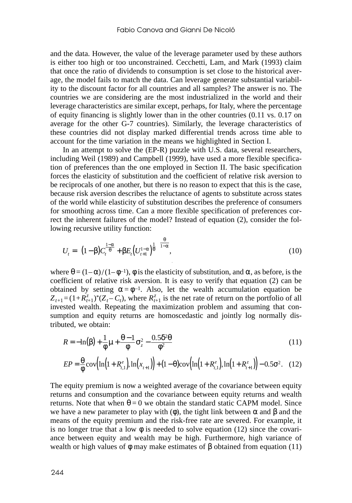and the data. However, the value of the leverage parameter used by these authors is either too high or too unconstrained. Cecchetti, Lam, and Mark (1993) claim that once the ratio of dividends to consumption is set close to the historical average, the model fails to match the data. Can leverage generate substantial variability to the discount factor for all countries and all samples? The answer is no. The countries we are considering are the most industrialized in the world and their leverage characteristics are similar except, perhaps, for Italy, where the percentage of equity financing is slightly lower than in the other countries (0.11 vs. 0.17 on average for the other G-7 countries). Similarly, the leverage characteristics of these countries did not display marked differential trends across time able to account for the time variation in the means we highlighted in Section I.

In an attempt to solve the (EP-R) puzzle with U.S. data, several researchers, including Weil (1989) and Campbell (1999), have used a more flexible specification of preferences than the one employed in Section II. The basic specification forces the elasticity of substitution and the coefficient of relative risk aversion to be reciprocals of one another, but there is no reason to expect that this is the case, because risk aversion describes the reluctance of agents to substitute across states of the world while elasticity of substitution describes the preference of consumers for smoothing across time. Can a more flexible specification of preferences correct the inherent failures of the model? Instead of equation (2), consider the following recursive utility function:

$$
U_t = \left\{ (1 - \beta) C_t^{\frac{1 - \alpha}{\theta}} + \beta E_t \left( U_{t+1}^{1 - \alpha} \right)^{\frac{1}{\theta}} \right\}^{\frac{\theta}{1 - \alpha}},\tag{10}
$$

where  $\theta = (1-\alpha)/(1-\phi^{-1})$ ,  $\phi$  is the elasticity of substitution, and  $\alpha$ , as before, is the coefficient of relative risk aversion. It is easy to verify that equation (2) can be obtained by setting  $\alpha = \phi^{-1}$ . Also, let the wealth accumulation equation be  $Z_{t+1} = (1 + R_{t+1}^z)^* (Z_t - C_t)$ , where  $R_{t+1}^z$  is the net rate of return on the portfolio of all invested wealth. Repeating the maximization problem and assuming that consumption and equity returns are homoscedastic and jointly log normally distributed, we obtain:

$$
R = -\ln(\beta) + \frac{1}{\phi}\mu + \frac{\theta - 1}{\phi}\sigma_z^2 - \frac{0.5\delta^2\theta}{\phi^2}
$$
\n(11)

$$
EP = \frac{\theta}{\phi} \text{cov}\Big(\ln\Big(1 + R_{t,1}^e\Big), \ln\Big(x_{t+1}\Big)\Big) + (1 - \theta) \text{cov}\Big(\ln\Big(1 + R_{t,1}^e\Big), \ln\Big(1 + R_{t+1}^z\Big)\Big) - 0.5\sigma^2. \tag{12}
$$

The equity premium is now a weighted average of the covariance between equity returns and consumption and the covariance between equity returns and wealth returns. Note that when  $\theta = 0$  we obtain the standard static CAPM model. Since we have a new parameter to play with  $(\phi)$ , the tight link between  $\alpha$  and  $\beta$  and the means of the equity premium and the risk-free rate are severed. For example, it is no longer true that a low  $\phi$  is needed to solve equation (12) since the covariance between equity and wealth may be high. Furthermore, high variance of wealth or high values of  $\phi$  may make estimates of  $\beta$  obtained from equation (11)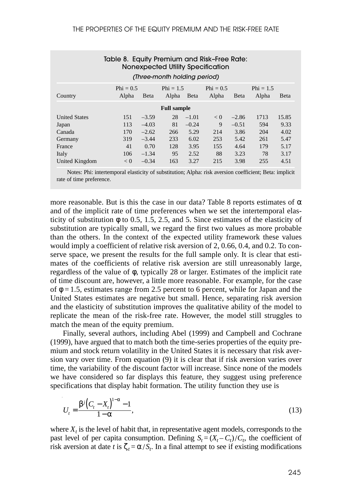|                      | Table 8. Equity Premium and Risk-Free Rate: |              |                              |         | Nonexpected Utility Specification |         |                      |              |
|----------------------|---------------------------------------------|--------------|------------------------------|---------|-----------------------------------|---------|----------------------|--------------|
|                      |                                             |              | (Three-month holding period) |         |                                   |         |                      |              |
| Country              | Phi = $0.5$<br>Alpha                        | <b>B</b> eta | Phi = $1.5$<br>Alpha         | Beta    | Phi = $0.5$<br>Alpha              | Beta    | Phi = $1.5$<br>Alpha | <b>B</b> eta |
|                      |                                             |              | <b>Full sample</b>           |         |                                   |         |                      |              |
| <b>United States</b> | 151                                         | $-3.59$      | 28                           | $-1.01$ | < 0                               | $-2.86$ | 1713                 | 15.85        |
| Japan                | 113                                         | $-4.03$      | 81                           | $-0.24$ | 9                                 | $-0.51$ | 594                  | 9.33         |
| Canada               | 170                                         | $-2.62$      | 266                          | 5.29    | 214                               | 3.86    | 204                  | 4.02         |
| Germany              | 319                                         | $-3.44$      | 233                          | 6.02    | 253                               | 5.42    | 261                  | 5.47         |
| France               | 41                                          | 0.70         | 128                          | 3.95    | 155                               | 4.64    | 179                  | 5.17         |
| Italy                | 106                                         | $-1.34$      | 95                           | 2.52    | 88                                | 3.23    | 78                   | 3.17         |
| United Kingdom       | < 0                                         | $-0.34$      | 163                          | 3.27    | 215                               | 3.98    | 255                  | 4.51         |

Notes: Phi: intertemporal elasticity of substitution; Alpha: risk aversion coefficient; Beta: implicit rate of time preference.

more reasonable. But is this the case in our data? Table 8 reports estimates of  $\alpha$ and of the implicit rate of time preferences when we set the intertemporal elasticity of substitution  $\phi$  to 0.5, 1.5, 2.5, and 5. Since estimates of the elasticity of substitution are typically small, we regard the first two values as more probable than the others. In the context of the expected utility framework these values would imply a coefficient of relative risk aversion of 2, 0.66, 0.4, and 0.2. To conserve space, we present the results for the full sample only. It is clear that estimates of the coefficients of relative risk aversion are still unreasonably large, regardless of the value of φ, typically 28 or larger. Estimates of the implicit rate of time discount are, however, a little more reasonable. For example, for the case of  $\phi = 1.5$ , estimates range from 2.5 percent to 6 percent, while for Japan and the United States estimates are negative but small. Hence, separating risk aversion and the elasticity of substitution improves the qualitative ability of the model to replicate the mean of the risk-free rate. However, the model still struggles to match the mean of the equity premium.

Finally, several authors, including Abel (1999) and Campbell and Cochrane (1999), have argued that to match both the time-series properties of the equity premium and stock return volatility in the United States it is necessary that risk aversion vary over time. From equation (9) it is clear that if risk aversion varies over time, the variability of the discount factor will increase. Since none of the models we have considered so far displays this feature, they suggest using preference specifications that display habit formation. The utility function they use is

$$
U_t = \frac{\beta^j \left(C_t - X_t\right)^{1-\alpha} - 1}{1-\alpha},\tag{13}
$$

where  $X_t$  is the level of habit that, in representative agent models, corresponds to the past level of per capita consumption. Defining  $S_t = (X_t - C_t)/C_t$ , the coefficient of risk aversion at date *t* is  $\zeta_t = \alpha / S_t$ . In a final attempt to see if existing modifications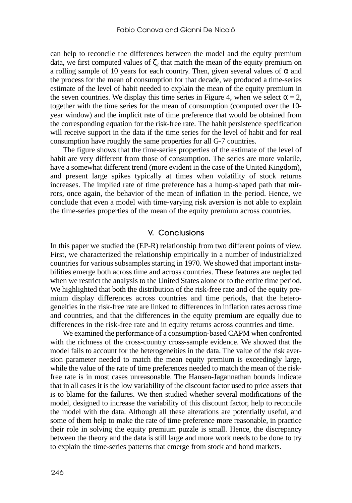can help to reconcile the differences between the model and the equity premium data, we first computed values of  $\zeta$  that match the mean of the equity premium on a rolling sample of 10 years for each country. Then, given several values of  $\alpha$  and the process for the mean of consumption for that decade, we produced a time-series estimate of the level of habit needed to explain the mean of the equity premium in the seven countries. We display this time series in Figure 4, when we select  $\alpha = 2$ , together with the time series for the mean of consumption (computed over the 10 year window) and the implicit rate of time preference that would be obtained from the corresponding equation for the risk-free rate. The habit persistence specification will receive support in the data if the time series for the level of habit and for real consumption have roughly the same properties for all G-7 countries.

The figure shows that the time-series properties of the estimate of the level of habit are very different from those of consumption. The series are more volatile, have a somewhat different trend (more evident in the case of the United Kingdom), and present large spikes typically at times when volatility of stock returns increases. The implied rate of time preference has a hump-shaped path that mirrors, once again, the behavior of the mean of inflation in the period. Hence, we conclude that even a model with time-varying risk aversion is not able to explain the time-series properties of the mean of the equity premium across countries.

### V. Conclusions

In this paper we studied the (EP-R) relationship from two different points of view. First, we characterized the relationship empirically in a number of industrialized countries for various subsamples starting in 1970. We showed that important instabilities emerge both across time and across countries. These features are neglected when we restrict the analysis to the United States alone or to the entire time period. We highlighted that both the distribution of the risk-free rate and of the equity premium display differences across countries and time periods, that the heterogeneities in the risk-free rate are linked to differences in inflation rates across time and countries, and that the differences in the equity premium are equally due to differences in the risk-free rate and in equity returns across countries and time.

We examined the performance of a consumption-based CAPM when confronted with the richness of the cross-country cross-sample evidence. We showed that the model fails to account for the heterogeneities in the data. The value of the risk aversion parameter needed to match the mean equity premium is exceedingly large, while the value of the rate of time preferences needed to match the mean of the riskfree rate is in most cases unreasonable. The Hansen-Jagannathan bounds indicate that in all cases it is the low variability of the discount factor used to price assets that is to blame for the failures. We then studied whether several modifications of the model, designed to increase the variability of this discount factor, help to reconcile the model with the data. Although all these alterations are potentially useful, and some of them help to make the rate of time preference more reasonable, in practice their role in solving the equity premium puzzle is small. Hence, the discrepancy between the theory and the data is still large and more work needs to be done to try to explain the time-series patterns that emerge from stock and bond markets.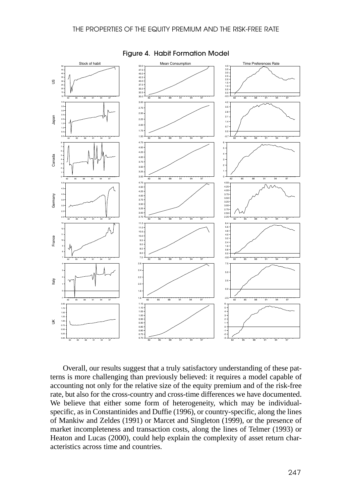

Figure 4. Habit Formation Model

Overall, our results suggest that a truly satisfactory understanding of these patterns is more challenging than previously believed: it requires a model capable of accounting not only for the relative size of the equity premium and of the risk-free rate, but also for the cross-country and cross-time differences we have documented. We believe that either some form of heterogeneity, which may be individualspecific, as in Constantinides and Duffie (1996), or country-specific, along the lines of Mankiw and Zeldes (1991) or Marcet and Singleton (1999), or the presence of market incompleteness and transaction costs, along the lines of Telmer (1993) or Heaton and Lucas (2000), could help explain the complexity of asset return characteristics across time and countries.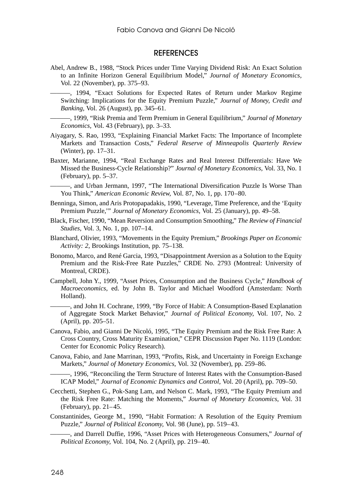#### **REFERENCES**

Abel, Andrew B., 1988, "Stock Prices under Time Varying Dividend Risk: An Exact Solution to an Infinite Horizon General Equilibrium Model," *Journal of Monetary Economics,* Vol. 22 (November), pp. 375–93.

-, 1994, "Exact Solutions for Expected Rates of Return under Markov Regime Switching: Implications for the Equity Premium Puzzle," *Journal of Money, Credit and Banking,* Vol. 26 (August), pp. 345–61.

———, 1999, "Risk Premia and Term Premium in General Equilibrium," *Journal of Monetary Economics,* Vol. 43 (February), pp. 3–33.

- Aiyagary, S. Rao, 1993, "Explaining Financial Market Facts: The Importance of Incomplete Markets and Transaction Costs," *Federal Reserve of Minneapolis Quarterly Review* (Winter), pp. 17–31.
- Baxter, Marianne, 1994, "Real Exchange Rates and Real Interest Differentials: Have We Missed the Business-Cycle Relationship?" *Journal of Monetary Economics,* Vol. 33, No. 1 (February), pp. 5–37.

-, and Urban Jermann, 1997, "The International Diversification Puzzle Is Worse Than You Think," *American Economic Review,* Vol. 87, No. 1, pp. 170–80.

- Benninga, Simon, and Aris Protopapadakis, 1990, "Leverage, Time Preference, and the 'Equity Premium Puzzle,'" *Journal of Monetary Economics,* Vol. 25 (January), pp. 49–58.
- Black, Fischer, 1990, "Mean Reversion and Consumption Smoothing," *The Review of Financial Studies,* Vol. 3, No. 1, pp. 107–14.
- Blanchard, Olivier, 1993, "Movements in the Equity Premium," *Brookings Paper on Economic Activity: 2*, Brookings Institution, pp. 75–138.
- Bonomo, Marco, and René Garcia, 1993, "Disappointment Aversion as a Solution to the Equity Premium and the Risk-Free Rate Puzzles," CRDE No. 2793 (Montreal: University of Montreal, CRDE).
- Campbell, John Y., 1999, "Asset Prices, Consumption and the Business Cycle," *Handbook of Macroeconomics,* ed. by John B. Taylor and Michael Woodford (Amsterdam: North Holland).

———, and John H. Cochrane, 1999, "By Force of Habit: A Consumption-Based Explanation of Aggregate Stock Market Behavior," *Journal of Political Economy,* Vol. 107, No. 2 (April), pp. 205–51.

- Canova, Fabio, and Gianni De Nicoló, 1995, "The Equity Premium and the Risk Free Rate: A Cross Country, Cross Maturity Examination," CEPR Discussion Paper No. 1119 (London: Center for Economic Policy Research).
- Canova, Fabio, and Jane Marrinan, 1993, "Profits, Risk, and Uncertainty in Foreign Exchange Markets," *Journal of Monetary Economics,* Vol. 32 (November), pp. 259–86.
	- ———, 1996, "Reconciling the Term Structure of Interest Rates with the Consumption-Based ICAP Model," *Journal of Economic Dynamics and Control,* Vol. 20 (April), pp. 709–50.
- Cecchetti, Stephen G., Pok-Sang Lam, and Nelson C. Mark, 1993, "The Equity Premium and the Risk Free Rate: Matching the Moments," *Journal of Monetary Economics,* Vol. 31 (February), pp. 21–45.
- Constantinides, George M., 1990, "Habit Formation: A Resolution of the Equity Premium Puzzle," *Journal of Political Economy,* Vol. 98 (June), pp. 519–43.

———, and Darrell Duffie, 1996, "Asset Prices with Heterogeneous Consumers," *Journal of Political Economy,* Vol. 104, No. 2 (April), pp. 219–40.